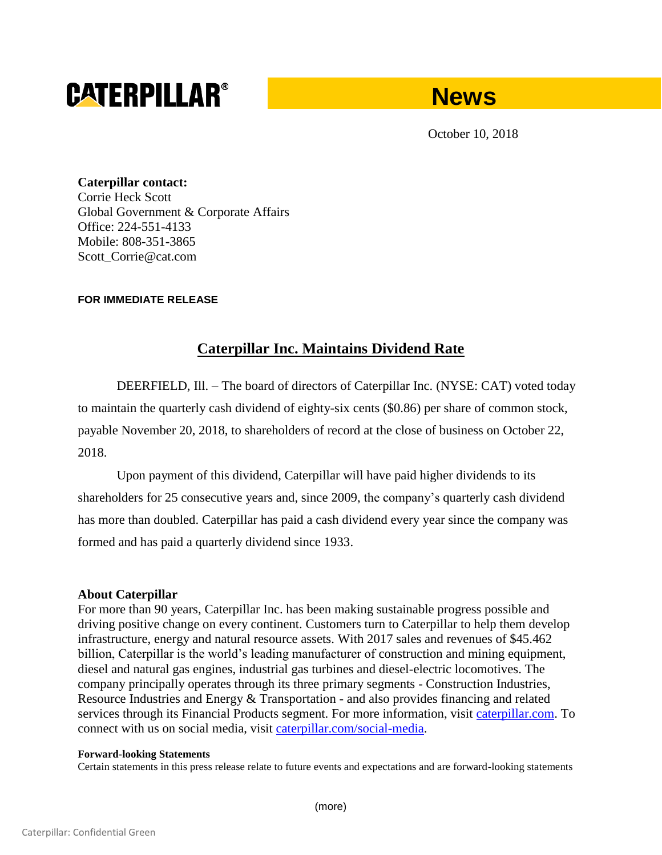# **CATERPILLAR®**



October 10, 2018

**Caterpillar contact:** Corrie Heck Scott Global Government & Corporate Affairs Office: 224-551-4133 Mobile: 808-351-3865 Scott\_Corrie@cat.com

## **FOR IMMEDIATE RELEASE**

## **Caterpillar Inc. Maintains Dividend Rate**

DEERFIELD, Ill. – The board of directors of Caterpillar Inc. (NYSE: CAT) voted today to maintain the quarterly cash dividend of eighty-six cents (\$0.86) per share of common stock, payable November 20, 2018, to shareholders of record at the close of business on October 22, 2018.

Upon payment of this dividend, Caterpillar will have paid higher dividends to its shareholders for 25 consecutive years and, since 2009, the company's quarterly cash dividend has more than doubled. Caterpillar has paid a cash dividend every year since the company was formed and has paid a quarterly dividend since 1933.

### **About Caterpillar**

For more than 90 years, Caterpillar Inc. has been making sustainable progress possible and driving positive change on every continent. Customers turn to Caterpillar to help them develop infrastructure, energy and natural resource assets. With 2017 sales and revenues of \$45.462 billion, Caterpillar is the world's leading manufacturer of construction and mining equipment, diesel and natural gas engines, industrial gas turbines and diesel-electric locomotives. The company principally operates through its three primary segments - Construction Industries, Resource Industries and Energy & Transportation - and also provides financing and related services through its Financial Products segment. For more information, visit [caterpillar.com.](http://www.caterpillar.com/) To connect with us on social media, visit [caterpillar.com/social-media.](http://www.caterpillar.com/social-media)

#### **Forward-looking Statements**

Certain statements in this press release relate to future events and expectations and are forward-looking statements